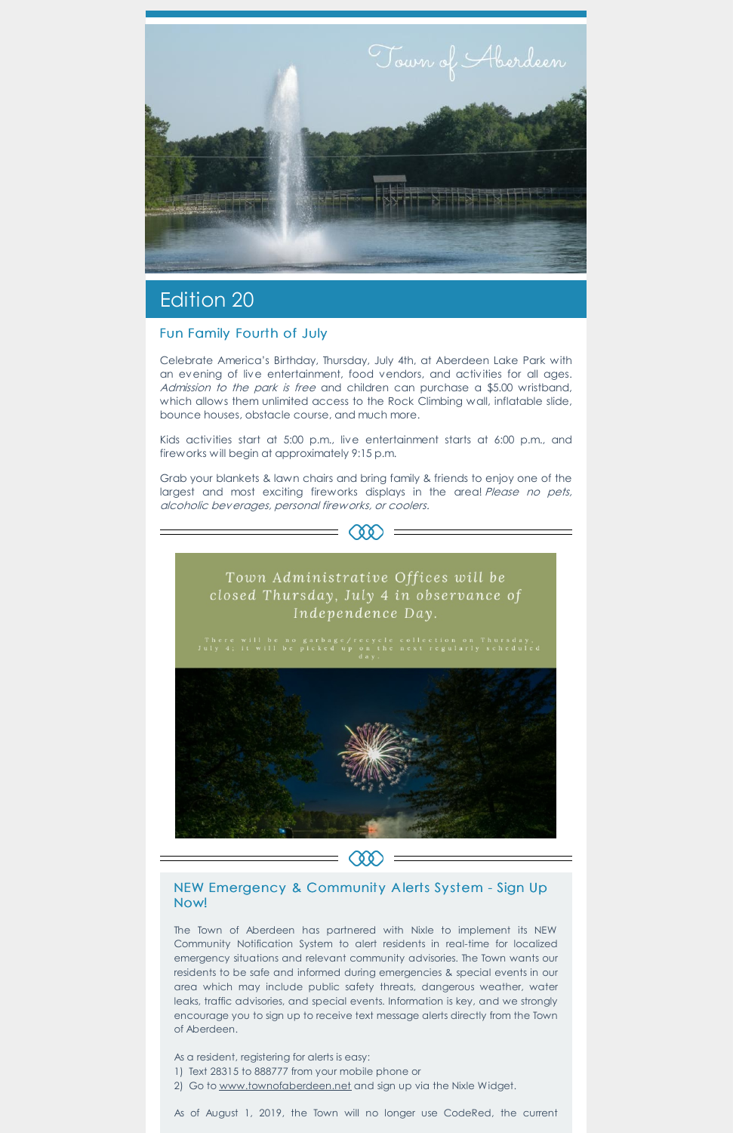

# Edition 20

### Fun Family Fourth of July

Celebrate America's Birthday, Thursday, July 4th, at Aberdeen Lake Park with an evening of live entertainment, food vendors, and activities for all ages. Admission to the park is free and children can purchase a \$5.00 wristband, which allows them unlimited access to the Rock Climbing wall, inflatable slide, bounce houses, obstacle course, and much more.

Kids activities start at 5:00 p.m., live entertainment starts at 6:00 p.m., and fireworks will begin at approximately 9:15 p.m.

Grab your blankets & lawn chairs and bring family & friends to enjoy one of the largest and most exciting fireworks displays in the area! Please no pets, alcoholic beverages, personal fireworks, or coolers.



Town Administrative Offices will be closed Thursday, July 4 in observance of Independence Day.



- 1) Text 28315 to 888777 from your mobile phone or
- 2) Go to [www.townofaberdeen.net](https://aberdeen.municipalcms.com/newsview.aspx?nid=5937) and sign up via the Nixle Widget.

NEW Emergency & Community A lerts Sy stem - Sign Up Now!

The Town of Aberdeen has partnered with Nixle to implement its NEW Community Notification System to alert residents in real-time for localized emergency situations and relevant community advisories. The Town wants our residents to be safe and informed during emergencies & special events in our area which may include public safety threats, dangerous weather, water leaks, traffic advisories, and special events. Information is key, and we strongly encourage you to sign up to receive text message alerts directly from the Town of Aberdeen.

As a resident, registering for alerts is easy:

As of August 1, 2019, the Town will no longer use CodeRed, the current